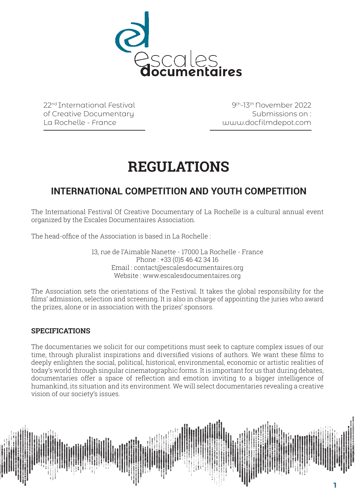

22nd International Festival of Creative Documentary La Rochelle - France

9th-13th November 2022 Submissions on : www.docfilmdepot.com

# **REGULATIONS**

## **INTERNATIONAL COMPETITION AND YOUTH COMPETITION**

The International Festival Of Creative Documentary of La Rochelle is a cultural annual event organized by the Escales Documentaires Association.

The head-office of the Association is based in La Rochelle :

13, rue de l'Aimable Nanette - 17000 La Rochelle - France Phone : +33 (0)5 46 42 34 16 Email : contact@escalesdocumentaires.org Website : www.escalesdocumentaires.org

The Association sets the orientations of the Festival. It takes the global responsibility for the films' admission, selection and screening. It is also in charge of appointing the juries who award the prizes, alone or in association with the prizes' sponsors.

## **SPECIFICATIONS**

The documentaries we solicit for our competitions must seek to capture complex issues of our time, through pluralist inspirations and diversified visions of authors. We want these films to deeply enlighten the social, political, historical, environmental, economic or artistic realities of today's world through singular cinematographic forms. It is important for us that during debates, documentaries offer a space of reflection and emotion inviting to a bigger intelligence of humankind, its situation and its environment. We will select documentaries revealing a creative vision of our society's issues.

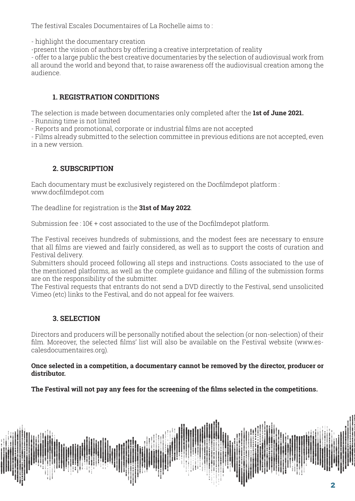The festival Escales Documentaires of La Rochelle aims to :

- highlight the documentary creation

-present the vision of authors by offering a creative interpretation of reality

- offer to a large public the best creative documentaries by the selection of audiovisual work from all around the world and beyond that, to raise awareness off the audiovisual creation among the audience.

## **1. REGISTRATION CONDITIONS**

The selection is made between documentaries only completed after the **1st of June 2021.**

- Running time is not limited

- Reports and promotional, corporate or industrial films are not accepted

- Films already submitted to the selection committee in previous editions are not accepted, even in a new version.

## **2. SUBSCRIPTION**

Each documentary must be exclusively registered on the Docfilmdepot platform : www.docfilmdepot.com

The deadline for registration is the **31st of May 2022**.

Submission fee :  $10 \epsilon$  + cost associated to the use of the Docfilmdepot platform.

The Festival receives hundreds of submissions, and the modest fees are necessary to ensure that all films are viewed and fairly considered, as well as to support the costs of curation and Festival delivery.

Submitters should proceed following all steps and instructions. Costs associated to the use of the mentioned platforms, as well as the complete guidance and filling of the submission forms are on the responsibility of the submitter.

The Festival requests that entrants do not send a DVD directly to the Festival, send unsolicited Vimeo (etc) links to the Festival, and do not appeal for fee waivers.

## **3. SELECTION**

Directors and producers will be personally notified about the selection (or non-selection) of their film. Moreover, the selected films' list will also be available on the Festival website (www.escalesdocumentaires.org).

## **Once selected in a competition, a documentary cannot be removed by the director, producer or distributor.**

**The Festival will not pay any fees for the screening of the films selected in the competitions.**

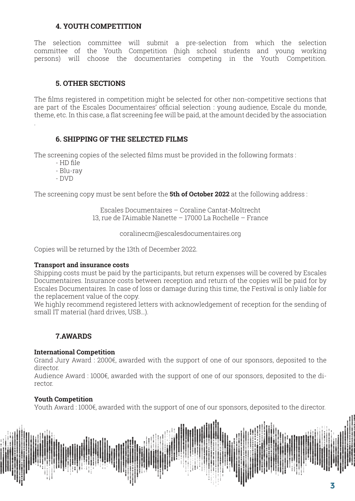## **4. YOUTH COMPETITION**

The selection committee will submit a pre-selection from which the selection committee of the Youth Competition (high school students and young working persons) will choose the documentaries competing in the Youth Competition.

### **5. OTHER SECTIONS**

The films registered in competition might be selected for other non-competitive sections that are part of the Escales Documentaires' official selection : young audience, Escale du monde, theme, etc. In this case, a flat screening fee will be paid, at the amount decided by the association

#### **6. SHIPPING OF THE SELECTED FILMS**

The screening copies of the selected films must be provided in the following formats :

- HD file

.

- Blu-ray
- DVD

The screening copy must be sent before the **5th of October 2022** at the following address :

Escales Documentaires – Coraline Cantat-Moltrecht 13, rue de l'Aimable Nanette – 17000 La Rochelle – France

coralinecm@escalesdocumentaires.org

Copies will be returned by the 13th of December 2022.

#### **Transport and insurance costs**

Shipping costs must be paid by the participants, but return expenses will be covered by Escales Documentaires. Insurance costs between reception and return of the copies will be paid for by Escales Documentaires. In case of loss or damage during this time, the Festival is only liable for the replacement value of the copy.

We highly recommend registered letters with acknowledgement of reception for the sending of small IT material (hard drives, USB…).

## **7.AWARDS**

#### **International Competition**

Grand Jury Award : 2000€, awarded with the support of one of our sponsors, deposited to the director.

Audience Award : 1000€, awarded with the support of one of our sponsors, deposited to the director.

#### **Youth Competition**

Youth Award : 1000€, awarded with the support of one of our sponsors, deposited to the director.

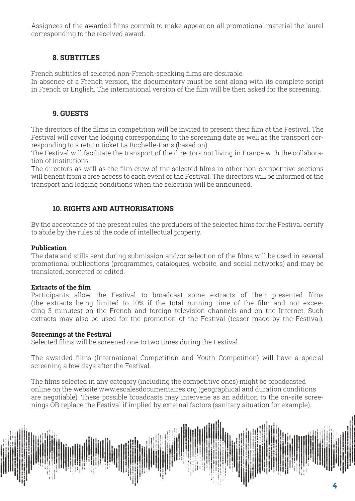Assignees of the awarded films commit to make appear on all promotional material the laurel corresponding to the received award.

## **8. SUBTITLES**

French subtitles of selected non-French-speaking films are desirable.

In absence of a French version, the documentary must be sent along with its complete script in French or English. The international version of the film will be then asked for the screening.

## **9. GUESTS**

The directors of the films in competition will be invited to present their film at the Festival. The Festival will cover the lodging corresponding to the screening date as well as the transport corresponding to a return ticket La Rochelle-Paris (based on).

The Festival will facilitate the transport of the directors not living in France with the collaboration of institutions.

The directors as well as the film crew of the selected films in other non-competitive sections will benefit from a free access to each event of the Festival. The directors will be informed of the transport and lodging conditions when the selection will be announced.

## **10. RIGHTS AND AUTHORISATIONS**

By the acceptance of the present rules, the producers of the selected films for the Festival certify to abide by the rules of the code of intellectual property.

## **Publication**

The data and stills sent during submission and/or selection of the films will be used in several promotional publications (programmes, catalogues, website, and social networks) and may be translated, corrected or edited.

## **Extracts of the film**

Participants allow the Festival to broadcast some extracts of their presented films (the extracts being limited to 10% if the total running time of the film and not exceeding 3 minutes) on the French and foreign television channels and on the Internet. Such extracts may also be used for the promotion of the Festival (teaser made by the Festival).

## **Screenings at the Festival**

Selected films will be screened one to two times during the Festival.

The awarded films (International Competition and Youth Competition) will have a special screening a few days after the Festival.

The films selected in any category (including the competitive ones) might be broadcasted online on the website www.escalesdocumentaires.org (geographical and duration conditions are negotiable). These possible broadcasts may intervene as an addition to the on-site screenings OR replace the Festival if implied by external factors (sanitary situation for example).